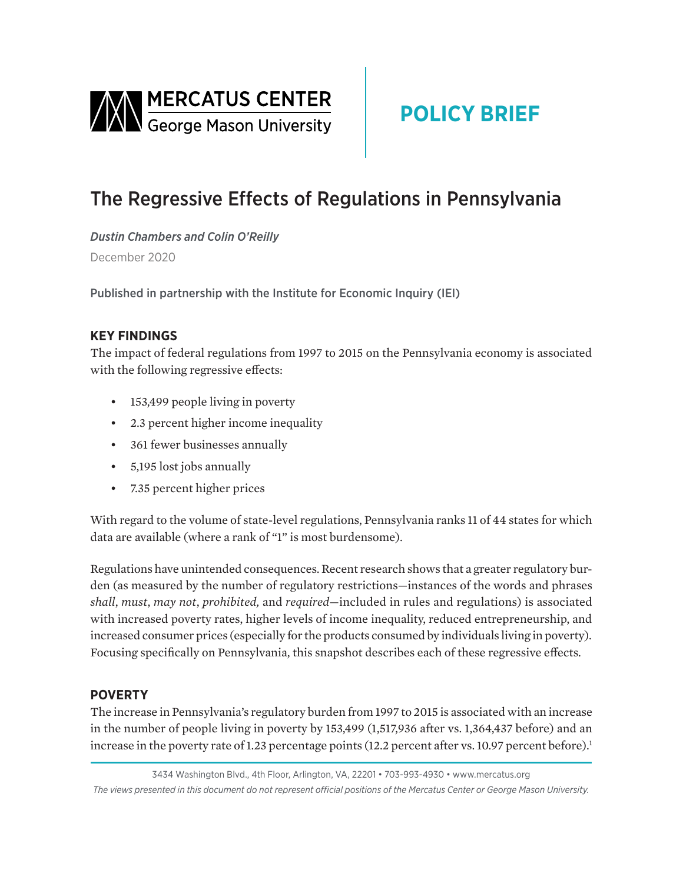<span id="page-0-0"></span>

# **POLICY BRIEF**

## The Regressive Effects of Regulations in Pennsylvania

*Dustin Chambers and Colin O'Reilly* December 2020

Published in partnership with the Institute for Economic Inquiry (IEI)

## **KEY FINDINGS**

The impact of federal regulations from 1997 to 2015 on the Pennsylvania economy is associated with the following regressive effects:

- 153,499 people living in poverty
- 2.3 percent higher income inequality
- 361 fewer businesses annually
- 5,195 lost jobs annually
- 7.35 percent higher prices

With regard to the volume of state-level regulations, Pennsylvania ranks 11 of 44 states for which data are available (where a rank of "1" is most burdensome).

Regulations have unintended consequences. Recent research shows that a greater regulatory burden (as measured by the number of regulatory restrictions—instances of the words and phrases *shall*, *must*, *may not*, *prohibited,* and *required*—included in rules and regulations) is associated with increased poverty rates, higher levels of income inequality, reduced entrepreneurship, and increased consumer prices (especially for the products consumed by individuals living in poverty). Focusing specifically on Pennsylvania, this snapshot describes each of these regressive effects.

## **POVERTY**

The increase in Pennsylvania's regulatory burden from 1997 to 2015 is associated with an increase in the number of people living in poverty by 153,499 (1,517,936 after vs. 1,364,437 before) and an increase in the poverty rate of 1.23 percentage points (12.2 percent after vs. 10.97 percent before).<sup>1</sup>

3434 Washington Blvd., 4th Floor, Arlington, VA, 22201 • 703-993-4930 • www.mercatus.org *The views presented in this document do not represent official positions of the Mercatus Center or George Mason University.*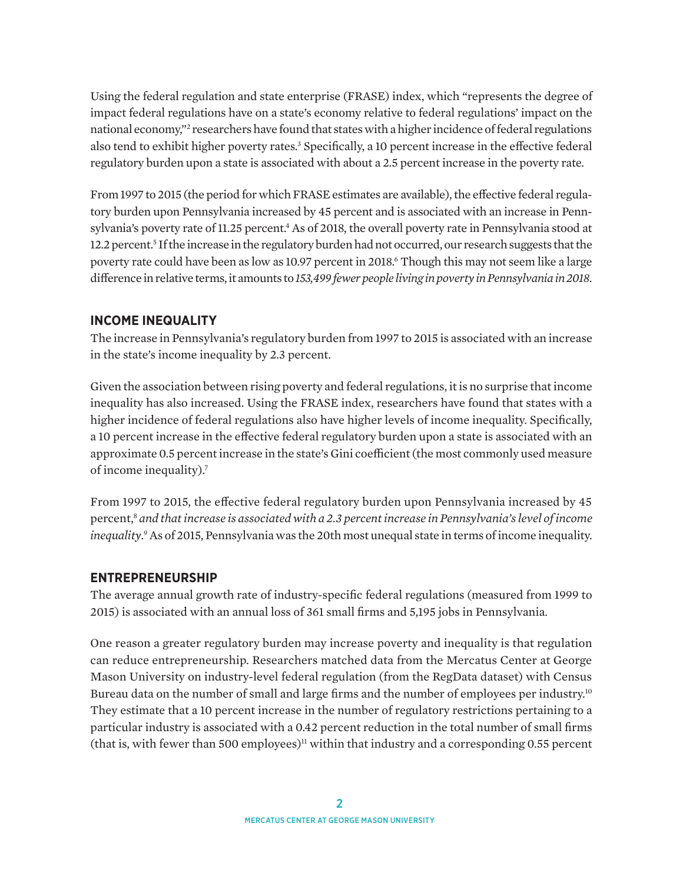<span id="page-1-0"></span>Using the federal regulation and state enterprise (FRASE) index, which "represents the degree of impact federal regulations have on a state's economy relative to federal regulations' impact on the national economy,["2](#page-3-0) researchers have found that states with a higher incidence of federal regulations also tend to exhibit higher poverty rates.<sup>3</sup> Specifically, a 10 percent increase in the effective federal regulatory burden upon a state is associated with about a 2.5 percent increase in the poverty rate.

From 1997 to 2015 (the period for which FRASE estimates are available), the effective federal regulatory burden upon Pennsylvania increased by 45 percent and is associated with an increase in Pennsylvania's poverty rate of 11.25 percent.<sup>4</sup> As of 2018, the overall poverty rate in Pennsylvania stood at 12.2 percent.<sup>5</sup> If the increase in the regulatory burden had not occurred, our research suggests that the poverty rate could have been as low as 10.97 percent in 2018.[6](#page-4-0) Though this may not seem like a large difference in relative terms, it amounts to *153,499 fewer people living in poverty in Pennsylvania in 2018*.

#### **INCOME INEQUALITY**

The increase in Pennsylvania's regulatory burden from 1997 to 2015 is associated with an increase in the state's income inequality by 2.3 percent.

Given the association between rising poverty and federal regulations, it is no surprise that income inequality has also increased. Using the FRASE index, researchers have found that states with a higher incidence of federal regulations also have higher levels of income inequality. Specifically, a 10 percent increase in the effective federal regulatory burden upon a state is associated with an approximate 0.5 percent increase in the state's Gini coefficient (the most commonly used measure of income inequality).[7](#page-4-0)

From 1997 to 2015, the effective federal regulatory burden upon Pennsylvania increased by 45 percent,[8](#page-4-0) *and that increase is associated with a 2.3 percent increase in Pennsylvania's level of income inequality*. [9](#page-4-0) As of 2015, Pennsylvania was the 20th most unequal state in terms of income inequality.

#### **ENTREPRENEURSHIP**

The average annual growth rate of industry-specific federal regulations (measured from 1999 to 2015) is associated with an annual loss of 361 small firms and 5,195 jobs in Pennsylvania.

One reason a greater regulatory burden may increase poverty and inequality is that regulation can reduce entrepreneurship. Researchers matched data from the Mercatus Center at George Mason University on industry-level federal regulation (from the RegData dataset) with Census Bureau data on the number of small and large firms and the number of employees per industry.<sup>[10](#page-4-0)</sup> They estimate that a 10 percent increase in the number of regulatory restrictions pertaining to a particular industry is associated with a 0.42 percent reduction in the total number of small firms (that is, with fewer than 500 employees)<sup>11</sup> within that industry and a corresponding 0.55 percent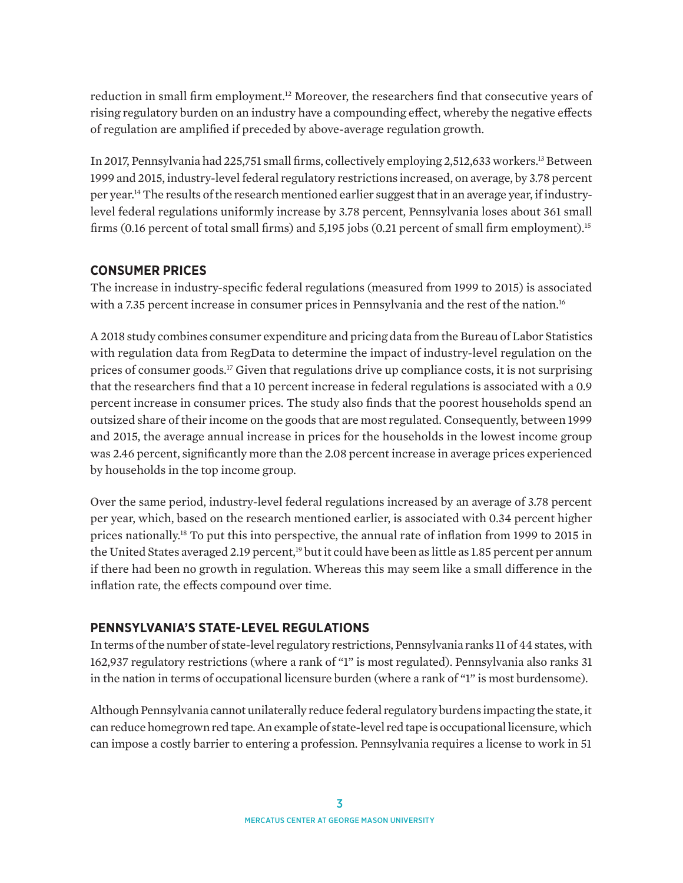<span id="page-2-0"></span>reduction in small firm employment.[12](#page-4-0) Moreover, the researchers find that consecutive years of rising regulatory burden on an industry have a compounding effect, whereby the negative effects of regulation are amplified if preceded by above-average regulation growth.

In 2017, Pennsylvania had 225,751 small firms, collectively employing 2,512,633 workers.[13](#page-4-0) Between 1999 and 2015, industry-level federal regulatory restrictions increased, on average, by 3.78 percent per year[.14](#page-4-0) The results of the research mentioned earlier suggest that in an average year, if industrylevel federal regulations uniformly increase by 3.78 percent, Pennsylvania loses about 361 small firms (0.16 percent of total small firms) and 5,195 jobs (0.21 percent of small firm employment)[.15](#page-4-0)

### **CONSUMER PRICES**

The increase in industry-specific federal regulations (measured from 1999 to 2015) is associated with a 7.35 percent increase in consumer prices in Pennsylvania and the rest of the nation.<sup>16</sup>

A 2018 study combines consumer expenditure and pricing data from the Bureau of Labor Statistics with regulation data from RegData to determine the impact of industry-level regulation on the prices of consumer goods[.17](#page-4-0) Given that regulations drive up compliance costs, it is not surprising that the researchers find that a 10 percent increase in federal regulations is associated with a 0.9 percent increase in consumer prices. The study also finds that the poorest households spend an outsized share of their income on the goods that are most regulated. Consequently, between 1999 and 2015, the average annual increase in prices for the households in the lowest income group was 2.46 percent, significantly more than the 2.08 percent increase in average prices experienced by households in the top income group.

Over the same period, industry-level federal regulations increased by an average of 3.78 percent per year, which, based on the research mentioned earlier, is associated with 0.34 percent higher prices nationally.[18](#page-4-0) To put this into perspective, the annual rate of inflation from 1999 to 2015 in the United States averaged 2.19 percent,<sup>19</sup> but it could have been as little as 1.85 percent per annum if there had been no growth in regulation. Whereas this may seem like a small difference in the inflation rate, the effects compound over time.

## **PENNSYLVANIA'S STATE-LEVEL REGULATIONS**

In terms of the number of state-level regulatory restrictions, Pennsylvania ranks 11 of 44 states, with 162,937 regulatory restrictions (where a rank of "1" is most regulated). Pennsylvania also ranks 31 in the nation in terms of occupational licensure burden (where a rank of "1" is most burdensome).

Although Pennsylvania cannot unilaterally reduce federal regulatory burdens impacting the state, it can reduce homegrown red tape. An example of state-level red tape is occupational licensure, which can impose a costly barrier to entering a profession. Pennsylvania requires a license to work in 51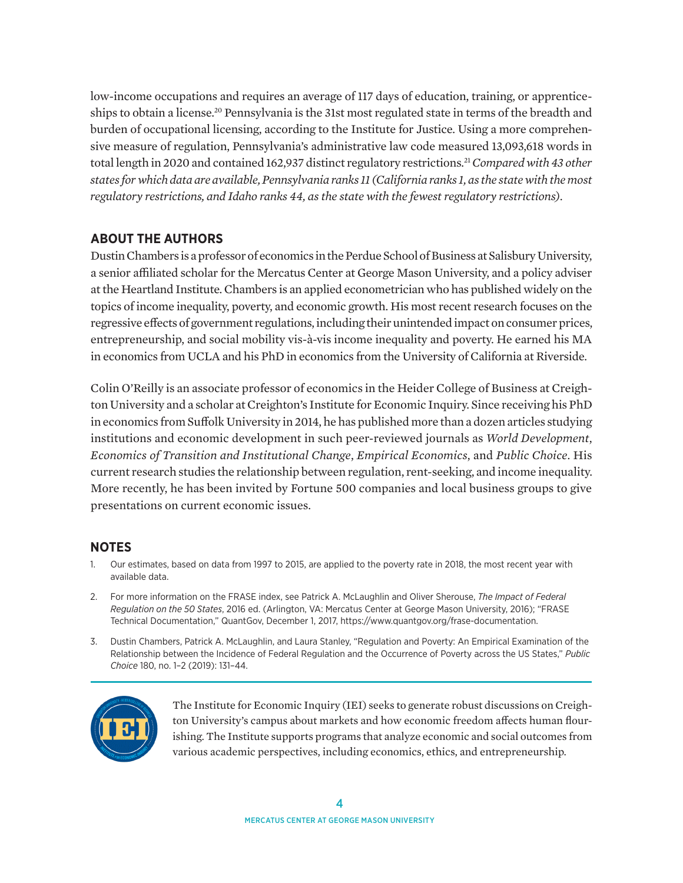<span id="page-3-0"></span>low-income occupations and requires an average of 117 days of education, training, or apprenticeships to obtain a license[.20](#page-5-0) Pennsylvania is the 31st most regulated state in terms of the breadth and burden of occupational licensing, according to the Institute for Justice. Using a more comprehensive measure of regulation, Pennsylvania's administrative law code measured 13,093,618 words in total length in 2020 and contained 162,937 distinct regulatory restrictions[.21](#page-5-0)*Compared with 43 other states for which data are available, Pennsylvania ranks 11 (California ranks 1, as the state with the most regulatory restrictions, and Idaho ranks 44, as the state with the fewest regulatory restrictions).*

## **ABOUT THE AUTHORS**

Dustin Chambers is a professor of economics in the Perdue School of Business at Salisbury University, a senior affiliated scholar for the Mercatus Center at George Mason University, and a policy adviser at the Heartland Institute. Chambers is an applied econometrician who has published widely on the topics of income inequality, poverty, and economic growth. His most recent research focuses on the regressive effects of government regulations, including their unintended impact on consumer prices, entrepreneurship, and social mobility vis-à-vis income inequality and poverty. He earned his MA in economics from UCLA and his PhD in economics from the University of California at Riverside.

Colin O'Reilly is an associate professor of economics in the Heider College of Business at Creighton University and a scholar at Creighton's Institute for Economic Inquiry. Since receiving his PhD in economics from Suffolk University in 2014, he has published more than a dozen articles studying institutions and economic development in such peer-reviewed journals as *World Development*, *Economics of Transition and Institutional Change*, *Empirical Economics*, and *Public Choice*. His current research studies the relationship between regulation, rent-seeking, and income inequality. More recently, he has been invited by Fortune 500 companies and local business groups to give presentations on current economic issues.

## **NOTES**

- Our estimates, based on data from 1997 to 2015, are applied to the poverty rate in 2018, the most recent year with available data.
- [2](#page-1-0). For more information on the FRASE index, see Patrick A. McLaughlin and Oliver Sherouse, *The Impact of Federal Regulation on the 50 States*, 2016 ed. (Arlington, VA: Mercatus Center at George Mason University, 2016); "FRASE Technical Documentation," QuantGov, December 1, 2017, [https://www.quantgov.org/frase-documentation.](https://www.quantgov.org/frase-documentation)
- [3](#page-1-0). Dustin Chambers, Patrick A. McLaughlin, and Laura Stanley, "Regulation and Poverty: An Empirical Examination of the Relationship between the Incidence of Federal Regulation and the Occurrence of Poverty across the US States," *Public Choice* 180, no. 1–2 (2019): 131–44.



The Institute for Economic Inquiry (IEI) seeks to generate robust discussions on Creighton University's campus about markets and how economic freedom affects human flourishing. The Institute supports programs that analyze economic and social outcomes from various academic perspectives, including economics, ethics, and entrepreneurship.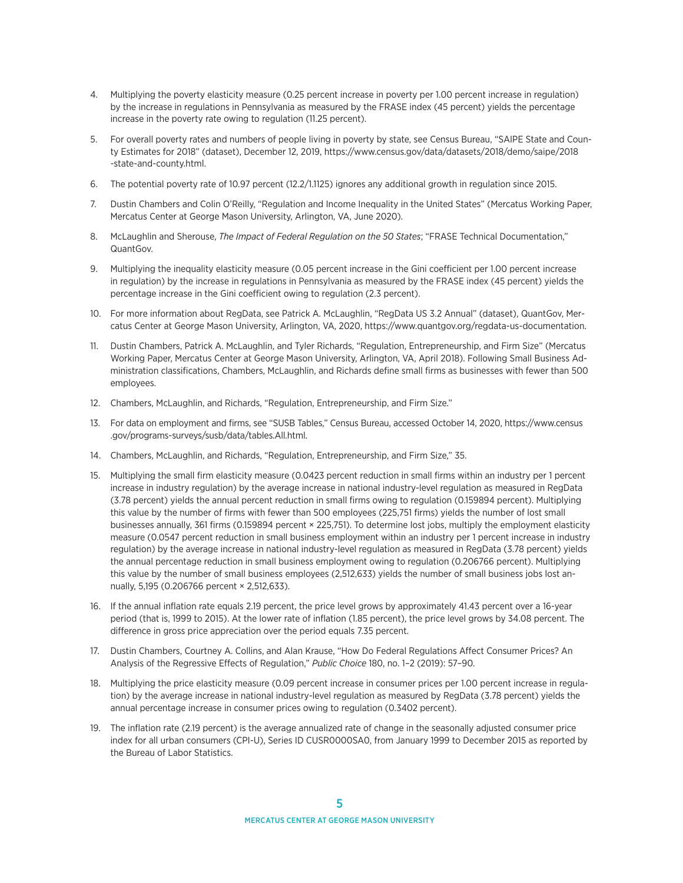- <span id="page-4-0"></span>[4.](#page-1-0) Multiplying the poverty elasticity measure (0.25 percent increase in poverty per 1.00 percent increase in regulation) by the increase in regulations in Pennsylvania as measured by the FRASE index (45 percent) yields the percentage increase in the poverty rate owing to regulation (11.25 percent).
- [5](#page-1-0). For overall poverty rates and numbers of people living in poverty by state, see Census Bureau, "SAIPE State and County Estimates for 2018" (dataset), December 12, 2019, [https://www.census.gov/data/datasets/2018/demo/saipe/2018](https://www.census.gov/data/datasets/2018/demo/saipe/2018-state-and-county.html) [-state-and-county.html.](https://www.census.gov/data/datasets/2018/demo/saipe/2018-state-and-county.html)
- [6.](#page-1-0) The potential poverty rate of 10.97 percent (12.2/1.1125) ignores any additional growth in regulation since 2015.
- [7.](#page-1-0) Dustin Chambers and Colin O'Reilly, "Regulation and Income Inequality in the United States" (Mercatus Working Paper, Mercatus Center at George Mason University, Arlington, VA, June 2020).
- [8.](#page-1-0) McLaughlin and Sherouse, *The Impact of Federal Regulation on the 50 States*; "FRASE Technical Documentation," QuantGov.
- [9.](#page-1-0) Multiplying the inequality elasticity measure (0.05 percent increase in the Gini coefficient per 1.00 percent increase in regulation) by the increase in regulations in Pennsylvania as measured by the FRASE index (45 percent) yields the percentage increase in the Gini coefficient owing to regulation (2.3 percent).
- [10.](#page-1-0) For more information about RegData, see Patrick A. McLaughlin, "RegData US 3.2 Annual" (dataset), QuantGov, Mercatus Center at George Mason University, Arlington, VA, 2020,<https://www.quantgov.org/regdata-us-documentation>.
- [11](#page-1-0). Dustin Chambers, Patrick A. McLaughlin, and Tyler Richards, "Regulation, Entrepreneurship, and Firm Size" (Mercatus Working Paper, Mercatus Center at George Mason University, Arlington, VA, April 2018). Following Small Business Administration classifications, Chambers, McLaughlin, and Richards define small firms as businesses with fewer than 500 employees.
- [12](#page-2-0). Chambers, McLaughlin, and Richards, "Regulation, Entrepreneurship, and Firm Size."
- [13.](#page-2-0) For data on employment and firms, see "SUSB Tables," Census Bureau, accessed October 14, 2020, [https://www.census](https://www.census.gov/programs-surveys/susb/data/tables.All.html) [.gov/programs-surveys/susb/data/tables.All.html.](https://www.census.gov/programs-surveys/susb/data/tables.All.html)
- [14.](#page-2-0) Chambers, McLaughlin, and Richards, "Regulation, Entrepreneurship, and Firm Size," 35.
- [15](#page-2-0). Multiplying the small firm elasticity measure (0.0423 percent reduction in small firms within an industry per 1 percent increase in industry regulation) by the average increase in national industry-level regulation as measured in RegData (3.78 percent) yields the annual percent reduction in small firms owing to regulation (0.159894 percent). Multiplying this value by the number of firms with fewer than 500 employees (225,751 firms) yields the number of lost small businesses annually, 361 firms (0.159894 percent × 225,751). To determine lost jobs, multiply the employment elasticity measure (0.0547 percent reduction in small business employment within an industry per 1 percent increase in industry regulation) by the average increase in national industry-level regulation as measured in RegData (3.78 percent) yields the annual percentage reduction in small business employment owing to regulation (0.206766 percent). Multiplying this value by the number of small business employees (2,512,633) yields the number of small business jobs lost annually, 5,195 (0.206766 percent × 2,512,633).
- [16](#page-2-0). If the annual inflation rate equals 2.19 percent, the price level grows by approximately 41.43 percent over a 16-year period (that is, 1999 to 2015). At the lower rate of inflation (1.85 percent), the price level grows by 34.08 percent. The difference in gross price appreciation over the period equals 7.35 percent.
- [17](#page-2-0). Dustin Chambers, Courtney A. Collins, and Alan Krause, "How Do Federal Regulations Affect Consumer Prices? An Analysis of the Regressive Effects of Regulation," *Public Choice* 180, no. 1–2 (2019): 57–90.
- [18](#page-2-0). Multiplying the price elasticity measure (0.09 percent increase in consumer prices per 1.00 percent increase in regulation) by the average increase in national industry-level regulation as measured by RegData (3.78 percent) yields the annual percentage increase in consumer prices owing to regulation (0.3402 percent).
- [19](#page-2-0). The inflation rate (2.19 percent) is the average annualized rate of change in the seasonally adjusted consumer price index for all urban consumers (CPI-U), Series ID CUSR0000SA0, from January 1999 to December 2015 as reported by the Bureau of Labor Statistics.